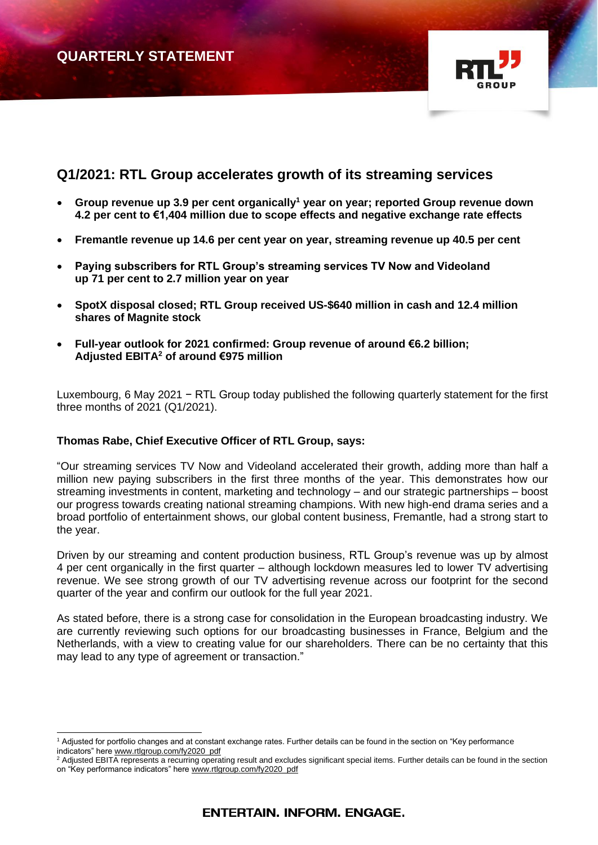# **QUARTERLY STATEMENT**



## **Q1/2021: RTL Group accelerates growth of its streaming services**

- **Group revenue up 3.9 per cent organically<sup>1</sup> year on year; reported Group revenue down 4.2 per cent to €1,404 million due to scope effects and negative exchange rate effects**
- **Fremantle revenue up 14.6 per cent year on year, streaming revenue up 40.5 per cent**
- **Paying subscribers for RTL Group's streaming services TV Now and Videoland up 71 per cent to 2.7 million year on year**
- **SpotX disposal closed; RTL Group received US-\$640 million in cash and 12.4 million shares of Magnite stock**
- **Full-year outlook for 2021 confirmed: Group revenue of around €6.2 billion; Adjusted EBITA<sup>2</sup> of around €975 million**

Luxembourg, 6 May 2021 − RTL Group today published the following quarterly statement for the first three months of 2021 (Q1/2021).

#### **Thomas Rabe, Chief Executive Officer of RTL Group, says:**

"Our streaming services TV Now and Videoland accelerated their growth, adding more than half a million new paying subscribers in the first three months of the year. This demonstrates how our streaming investments in content, marketing and technology – and our strategic partnerships – boost our progress towards creating national streaming champions. With new high-end drama series and a broad portfolio of entertainment shows, our global content business, Fremantle, had a strong start to the year.

Driven by our streaming and content production business, RTL Group's revenue was up by almost 4 per cent organically in the first quarter – although lockdown measures led to lower TV advertising revenue. We see strong growth of our TV advertising revenue across our footprint for the second quarter of the year and confirm our outlook for the full year 2021.

As stated before, there is a strong case for consolidation in the European broadcasting industry. We are currently reviewing such options for our broadcasting businesses in France, Belgium and the Netherlands, with a view to creating value for our shareholders. There can be no certainty that this may lead to any type of agreement or transaction."

 $^1$  Adjusted for portfolio changes and at constant exchange rates. Further details can be found in the section on "Key performance indicators" here [www.rtlgroup.com/fy2020\\_pdf](http://www.rtlgroup.com/fy2020_pdf)

Adjusted EBITA represents a recurring operating result and excludes significant special items. Further details can be found in the section on "Key performance indicators" here [www.rtlgroup.com/fy2020\\_pdf](http://www.rtlgroup.com/fy2020_pdf)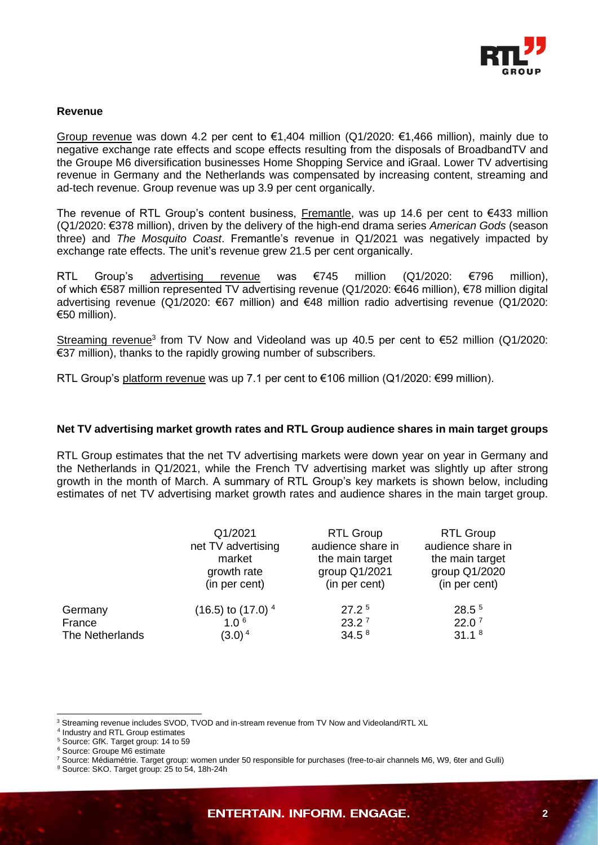

#### **Revenue**

Group revenue was down 4.2 per cent to  $\epsilon$ 1,404 million (Q1/2020:  $\epsilon$ 1,466 million), mainly due to negative exchange rate effects and scope effects resulting from the disposals of BroadbandTV and the Groupe M6 diversification businesses Home Shopping Service and iGraal. Lower TV advertising revenue in Germany and the Netherlands was compensated by increasing content, streaming and ad-tech revenue. Group revenue was up 3.9 per cent organically.

The revenue of RTL Group's content business, Fremantle, was up 14.6 per cent to €433 million (Q1/2020: €378 million), driven by the delivery of the high-end drama series *American Gods* (season three) and *The Mosquito Coast*. Fremantle's revenue in Q1/2021 was negatively impacted by exchange rate effects. The unit's revenue grew 21.5 per cent organically.

RTL Group's advertising revenue was €745 million (Q1/2020: €796 million), of which €587 million represented TV advertising revenue (Q1/2020: €646 million), €78 million digital advertising revenue (Q1/2020: €67 million) and €48 million radio advertising revenue (Q1/2020: €50 million).

Streaming revenue<sup>3</sup> from TV Now and Videoland was up 40.5 per cent to  $\epsilon$ 52 million (Q1/2020: €37 million), thanks to the rapidly growing number of subscribers.

RTL Group's platform revenue was up 7.1 per cent to €106 million (Q1/2020: €99 million).

#### **Net TV advertising market growth rates and RTL Group audience shares in main target groups**

RTL Group estimates that the net TV advertising markets were down year on year in Germany and the Netherlands in Q1/2021, while the French TV advertising market was slightly up after strong growth in the month of March. A summary of RTL Group's key markets is shown below, including estimates of net TV advertising market growth rates and audience shares in the main target group.

|                 | Q1/2021                           | <b>RTL Group</b>  | <b>RTL Group</b>  |
|-----------------|-----------------------------------|-------------------|-------------------|
|                 | net TV advertising                | audience share in | audience share in |
|                 | market                            | the main target   | the main target   |
|                 | growth rate                       | group Q1/2021     | group Q1/2020     |
|                 | (in per cent)                     | (in per cent)     | (in per cent)     |
| Germany         | $(16.5)$ to $(17.0)$ <sup>4</sup> | 27.2 <sup>5</sup> | 28.5 <sup>5</sup> |
| France          | 1.0 <sup>6</sup>                  | 23.2 <sup>7</sup> | 22.0 <sup>7</sup> |
| The Netherlands | $(3.0)^4$                         | 34.5 <sup>8</sup> | 31.1 <sup>8</sup> |

<sup>3</sup> Streaming revenue includes SVOD, TVOD and in-stream revenue from TV Now and Videoland/RTL XL

<sup>4</sup> Industry and RTL Group estimates

<sup>5</sup> Source: GfK. Target group: 14 to 59

<sup>6</sup> Source: Groupe M6 estimate

<sup>7</sup> Source: Médiamétrie. Target group: women under 50 responsible for purchases (free-to-air channels M6, W9, 6ter and Gulli)

<sup>8</sup> Source: SKO. Target group: 25 to 54, 18h-24h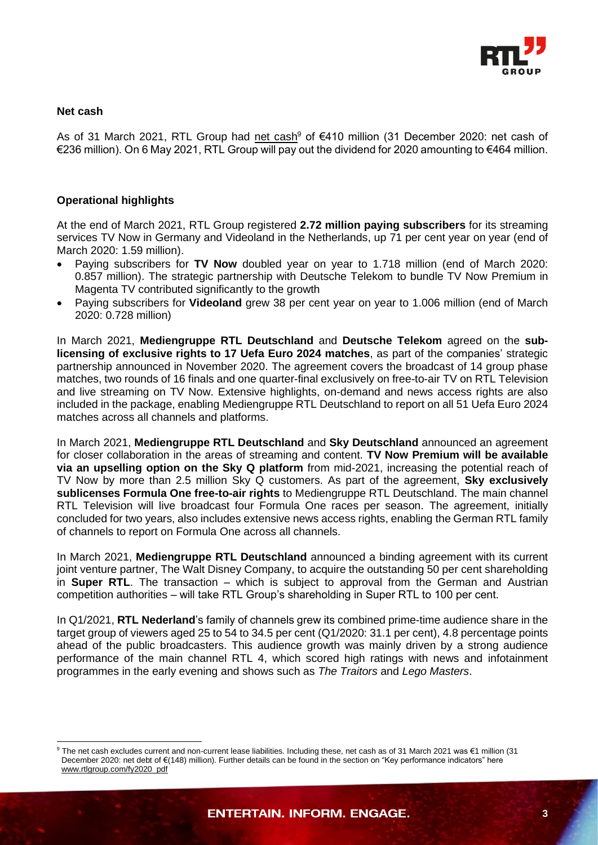

#### **Net cash**

As of 31 March 2021, RTL Group had net cash<sup>9</sup> of €410 million (31 December 2020: net cash of €236 million). On 6 May 2021, RTL Group will pay out the dividend for 2020 amounting to €464 million.

### **Operational highlights**

At the end of March 2021, RTL Group registered **2.72 million paying subscribers** for its streaming services TV Now in Germany and Videoland in the Netherlands, up 71 per cent year on year (end of March 2020: 1.59 million).

- Paying subscribers for **TV Now** doubled year on year to 1.718 million (end of March 2020: 0.857 million). The strategic partnership with Deutsche Telekom to bundle TV Now Premium in Magenta TV contributed significantly to the growth
- Paying subscribers for **Videoland** grew 38 per cent year on year to 1.006 million (end of March 2020: 0.728 million)

In March 2021, **Mediengruppe RTL Deutschland** and **Deutsche Telekom** agreed on the **sublicensing of exclusive rights to 17 Uefa Euro 2024 matches**, as part of the companies' strategic partnership announced in November 2020. The agreement covers the broadcast of 14 group phase matches, two rounds of 16 finals and one quarter-final exclusively on free-to-air TV on RTL Television and live streaming on TV Now. Extensive highlights, on-demand and news access rights are also included in the package, enabling Mediengruppe RTL Deutschland to report on all 51 Uefa Euro 2024 matches across all channels and platforms.

In March 2021, **Mediengruppe RTL Deutschland** and **Sky Deutschland** announced an agreement for closer collaboration in the areas of streaming and content. **TV Now Premium will be available via an upselling option on the Sky Q platform** from mid-2021, increasing the potential reach of TV Now by more than 2.5 million Sky Q customers. As part of the agreement, **Sky exclusively sublicenses Formula One free-to-air rights** to Mediengruppe RTL Deutschland. The main channel RTL Television will live broadcast four Formula One races per season. The agreement, initially concluded for two years, also includes extensive news access rights, enabling the German RTL family of channels to report on Formula One across all channels.

In March 2021, **Mediengruppe RTL Deutschland** announced a binding agreement with its current joint venture partner, The Walt Disney Company, to acquire the outstanding 50 per cent shareholding in **Super RTL**. The transaction – which is subject to approval from the German and Austrian competition authorities – will take RTL Group's shareholding in Super RTL to 100 per cent.

In Q1/2021, **RTL Nederland**'s family of channels grew its combined prime-time audience share in the target group of viewers aged 25 to 54 to 34.5 per cent (Q1/2020: 31.1 per cent), 4.8 percentage points ahead of the public broadcasters. This audience growth was mainly driven by a strong audience performance of the main channel RTL 4, which scored high ratings with news and infotainment programmes in the early evening and shows such as *The Traitors* and *Lego Masters*.

<sup>9</sup> The net cash excludes current and non-current lease liabilities. Including these, net cash as of 31 March 2021 was €1 million (31 December 2020: net debt of €(148) million). Further details can be found in the section on "Key performance indicators" here [www.rtlgroup.com/fy2020\\_pdf](http://www.rtlgroup.com/fy2020_pdf)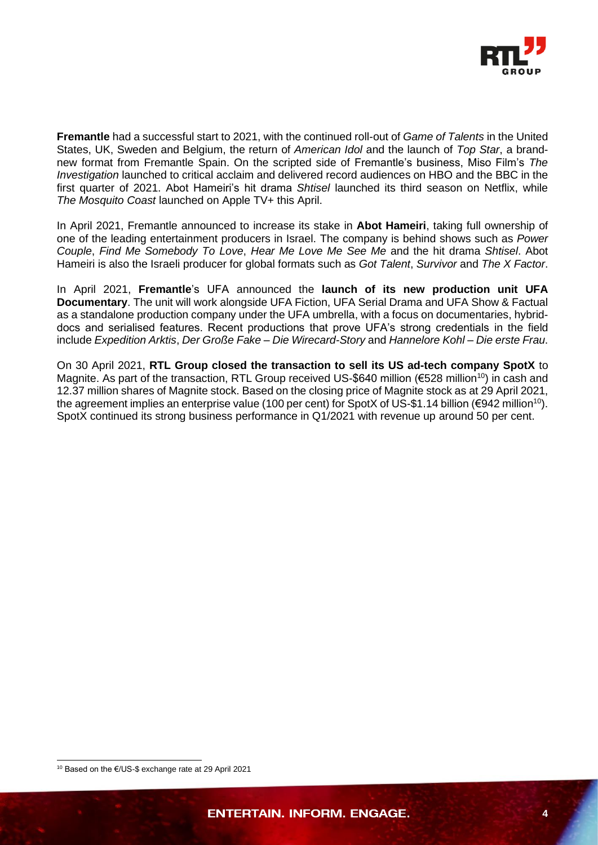

**Fremantle** had a successful start to 2021, with the continued roll-out of *Game of Talents* in the United States, UK, Sweden and Belgium, the return of *American Idol* and the launch of *Top Star*, a brandnew format from Fremantle Spain. On the scripted side of Fremantle's business, Miso Film's *The Investigation* launched to critical acclaim and delivered record audiences on HBO and the BBC in the first quarter of 2021. Abot Hameiri's hit drama *Shtisel* launched its third season on Netflix, while *The Mosquito Coast* launched on Apple TV+ this April.

In April 2021, Fremantle announced to increase its stake in **Abot Hameiri**, taking full ownership of one of the leading entertainment producers in Israel. The company is behind shows such as *Power Couple*, *Find Me Somebody To Love*, *Hear Me Love Me See Me* and the hit drama *Shtisel*. Abot Hameiri is also the Israeli producer for global formats such as *Got Talent*, *Survivor* and *The X Factor*.

In April 2021, **Fremantle**'s UFA announced the **launch of its new production unit UFA Documentary**. The unit will work alongside UFA Fiction, UFA Serial Drama and UFA Show & Factual as a standalone production company under the UFA umbrella, with a focus on documentaries, hybriddocs and serialised features. Recent productions that prove UFA's strong credentials in the field include *Expedition Arktis*, *Der Große Fake – Die Wirecard-Story* and *Hannelore Kohl – Die erste Frau*.

On 30 April 2021, **RTL Group closed the transaction to sell its US ad-tech company SpotX** to Magnite. As part of the transaction, RTL Group received US-\$640 million (€528 million<sup>10</sup>) in cash and 12.37 million shares of Magnite stock. Based on the closing price of Magnite stock as at 29 April 2021, the agreement implies an enterprise value (100 per cent) for SpotX of US-\$1.14 billion (€942 million<sup>10</sup>). SpotX continued its strong business performance in Q1/2021 with revenue up around 50 per cent.

<sup>10</sup> Based on the €/US-\$ exchange rate at 29 April 2021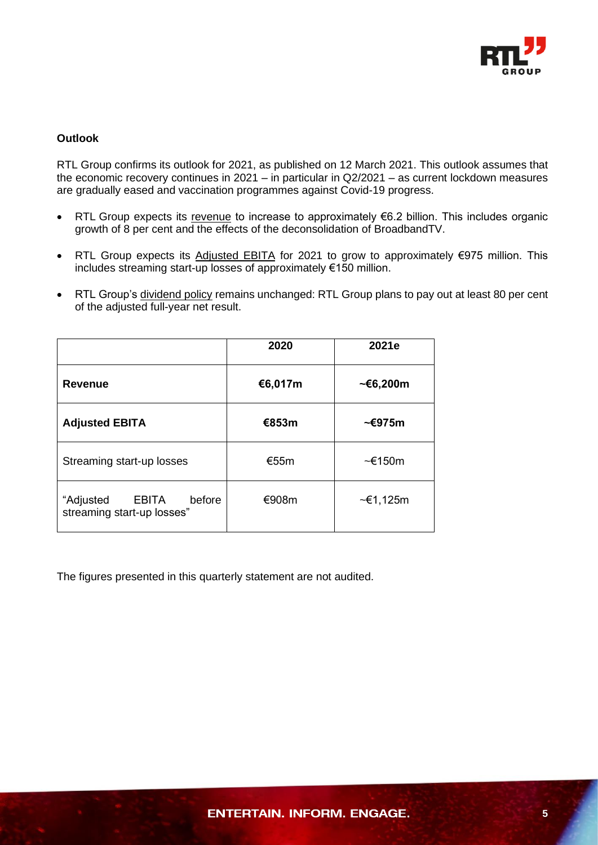

## **Outlook**

RTL Group confirms its outlook for 2021, as published on 12 March 2021. This outlook assumes that the economic recovery continues in 2021 – in particular in Q2/2021 – as current lockdown measures are gradually eased and vaccination programmes against Covid-19 progress.

- RTL Group expects its revenue to increase to approximately €6.2 billion. This includes organic growth of 8 per cent and the effects of the deconsolidation of BroadbandTV.
- RTL Group expects its Adjusted EBITA for 2021 to grow to approximately €975 million. This includes streaming start-up losses of approximately €150 million.
- RTL Group's dividend policy remains unchanged: RTL Group plans to pay out at least 80 per cent of the adjusted full-year net result.

|                                                                   | 2020    | 2021e           |
|-------------------------------------------------------------------|---------|-----------------|
| <b>Revenue</b>                                                    | €6,017m | $~\sim$ €6,200m |
| <b>Adjusted EBITA</b>                                             | €853m   | ~€975m          |
| Streaming start-up losses                                         | €55m    | $\sim$ €150m    |
| before<br>"Adjusted<br><b>EBITA</b><br>streaming start-up losses" | €908m   | $~\sim$ €1,125m |

The figures presented in this quarterly statement are not audited.